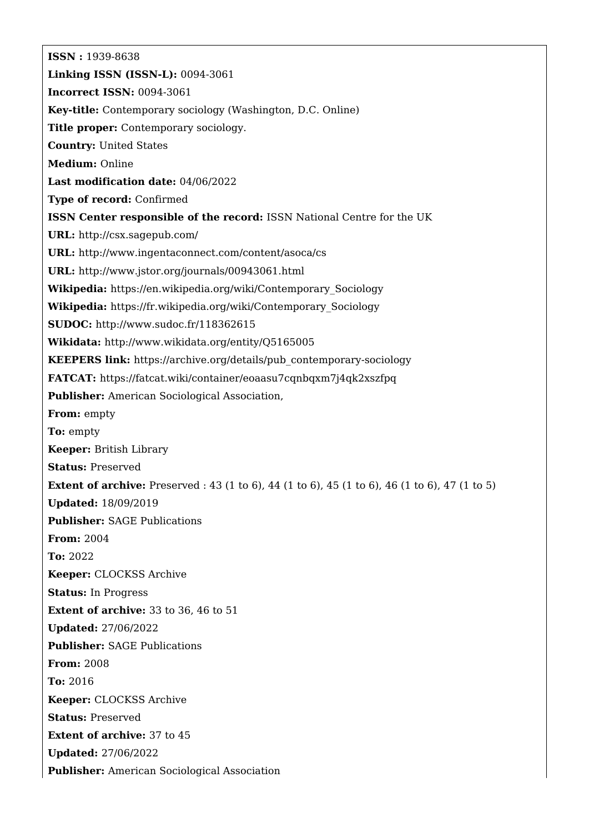**ISSN :** 1939-8638 **Linking ISSN (ISSN-L):** 0094-3061 **Incorrect ISSN:** 0094-3061 **Key-title:** Contemporary sociology (Washington, D.C. Online) **Title proper:** Contemporary sociology. **Country:** United States **Medium:** Online **Last modification date:** 04/06/2022 **Type of record:** Confirmed **ISSN Center responsible of the record:** ISSN National Centre for the UK **URL:** <http://csx.sagepub.com/> **URL:** <http://www.ingentaconnect.com/content/asoca/cs> **URL:** <http://www.jstor.org/journals/00943061.html> **Wikipedia:** [https://en.wikipedia.org/wiki/Contemporary\\_Sociology](https://en.wikipedia.org/wiki/Contemporary_Sociology) **Wikipedia:** [https://fr.wikipedia.org/wiki/Contemporary\\_Sociology](https://fr.wikipedia.org/wiki/Contemporary_Sociology) **SUDOC:** <http://www.sudoc.fr/118362615> **Wikidata:** <http://www.wikidata.org/entity/Q5165005> **KEEPERS link:** [https://archive.org/details/pub\\_contemporary-sociology](https://archive.org/details/pub_contemporary-sociology) **FATCAT:** <https://fatcat.wiki/container/eoaasu7cqnbqxm7j4qk2xszfpq> **Publisher:** American Sociological Association, **From:** empty **To:** empty **Keeper:** British Library **Status:** Preserved **Extent of archive:** Preserved : 43 (1 to 6), 44 (1 to 6), 45 (1 to 6), 46 (1 to 6), 47 (1 to 5) **Updated:** 18/09/2019 **Publisher:** SAGE Publications **From:** 2004 **To:** 2022 **Keeper:** CLOCKSS Archive **Status:** In Progress **Extent of archive:** 33 to 36, 46 to 51 **Updated:** 27/06/2022 **Publisher:** SAGE Publications **From:** 2008 **To:** 2016 **Keeper:** CLOCKSS Archive **Status:** Preserved **Extent of archive:** 37 to 45 **Updated:** 27/06/2022 **Publisher:** American Sociological Association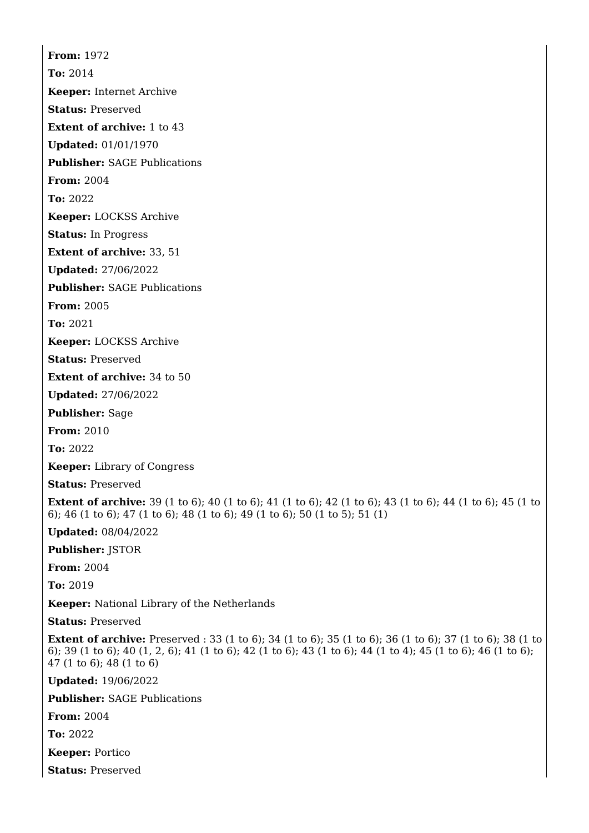**From:** 1972 **To:** 2014 **Keeper:** Internet Archive **Status:** Preserved **Extent of archive:** 1 to 43 **Updated:** 01/01/1970 **Publisher:** SAGE Publications **From:** 2004 **To:** 2022 **Keeper:** LOCKSS Archive **Status:** In Progress **Extent of archive:** 33, 51 **Updated:** 27/06/2022 **Publisher:** SAGE Publications **From:** 2005 **To:** 2021 **Keeper:** LOCKSS Archive **Status:** Preserved **Extent of archive:** 34 to 50 **Updated:** 27/06/2022 **Publisher:** Sage **From:** 2010 **To:** 2022 **Keeper:** Library of Congress **Status:** Preserved **Extent of archive:** 39 (1 to 6); 40 (1 to 6); 41 (1 to 6); 42 (1 to 6); 43 (1 to 6); 44 (1 to 6); 45 (1 to 6); 46 (1 to 6); 47 (1 to 6); 48 (1 to 6); 49 (1 to 6); 50 (1 to 5); 51 (1) **Updated:** 08/04/2022 **Publisher:** JSTOR **From:** 2004 **To:** 2019 **Keeper:** National Library of the Netherlands **Status:** Preserved **Extent of archive:** Preserved : 33 (1 to 6); 34 (1 to 6); 35 (1 to 6); 36 (1 to 6); 37 (1 to 6); 38 (1 to 6); 39 (1 to 6); 40 (1, 2, 6); 41 (1 to 6); 42 (1 to 6); 43 (1 to 6); 44 (1 to 4); 45 (1 to 6); 46 (1 to 6); 47 (1 to 6); 48 (1 to 6) **Updated:** 19/06/2022 **Publisher:** SAGE Publications

**From:** 2004

**To:** 2022

**Keeper:** Portico

**Status:** Preserved